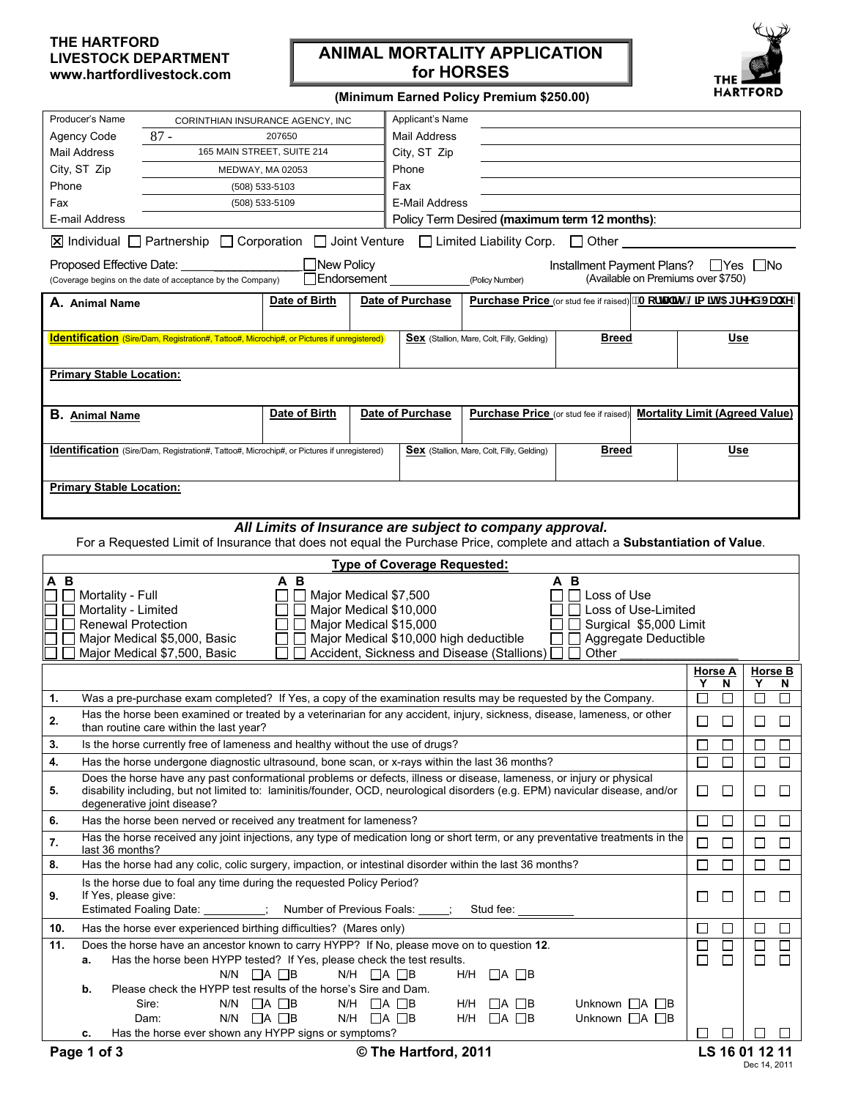# **THE HARTFORD LIVESTOCK DEPARTMENT www.hartfordlivestock.com**

# **ANIMAL MORTALITY APPLICATION for HORSES**



### **(Minimum Earned Policy Premium \$250.00)**

| Producer's Name<br>Applicant's Name<br>CORINTHIAN INSURANCE AGENCY, INC<br>$87 -$<br><b>Agency Code</b><br>207650<br>Mail Address<br>165 MAIN STREET, SUITE 214<br>Mail Address<br>City, ST Zip<br>City, ST Zip<br>Phone<br>MEDWAY, MA 02053<br>Phone<br>Fax<br>(508) 533-5103<br>E-Mail Address<br>Fax<br>(508) 533-5109<br>Policy Term Desired (maximum term 12 months):<br>E-mail Address<br>  Individual Denthership Dcorporation DJoint Venture DLimited Liability Corp. DOther<br>New Policy<br>Proposed Effective Date:<br>Installment Payment Plans? Pres No<br>□Endorsement<br>(Available on Premiums over \$750)<br>(Coverage begins on the date of acceptance by the Company)<br>(Policy Number)<br>Purchase Price (or stud fee if raised) "AcfIU] mi @a ] hf5 [ fYYX' JUi YL<br>Date of Birth<br>Date of Purchase<br>A. Animal Name<br><b>Identification</b> (Sire/Dam, Registration#, Tattoo#, Microchip#, or Pictures if unregistered)<br><b>Sex</b> (Stallion, Mare, Colt, Filly, Gelding)<br><b>Breed</b><br><b>Primary Stable Location:</b><br>Date of Birth<br><b>Date of Purchase</b><br>Purchase Price (or stud fee if raised)<br><b>Mortality Limit (Agreed Value)</b><br><b>B.</b> Animal Name<br>Identification (Sire/Dam, Registration#, Tattoo#, Microchip#, or Pictures if unregistered)<br><b>Breed</b><br><b>Sex</b> (Stallion, Mare, Colt, Filly, Gelding)<br><b>Primary Stable Location:</b> |                | <u>Use</u> |                             |                          |  |  |  |  |  |  |
|----------------------------------------------------------------------------------------------------------------------------------------------------------------------------------------------------------------------------------------------------------------------------------------------------------------------------------------------------------------------------------------------------------------------------------------------------------------------------------------------------------------------------------------------------------------------------------------------------------------------------------------------------------------------------------------------------------------------------------------------------------------------------------------------------------------------------------------------------------------------------------------------------------------------------------------------------------------------------------------------------------------------------------------------------------------------------------------------------------------------------------------------------------------------------------------------------------------------------------------------------------------------------------------------------------------------------------------------------------------------------------------------------------------------------|----------------|------------|-----------------------------|--------------------------|--|--|--|--|--|--|
|                                                                                                                                                                                                                                                                                                                                                                                                                                                                                                                                                                                                                                                                                                                                                                                                                                                                                                                                                                                                                                                                                                                                                                                                                                                                                                                                                                                                                            |                |            |                             |                          |  |  |  |  |  |  |
|                                                                                                                                                                                                                                                                                                                                                                                                                                                                                                                                                                                                                                                                                                                                                                                                                                                                                                                                                                                                                                                                                                                                                                                                                                                                                                                                                                                                                            |                |            |                             |                          |  |  |  |  |  |  |
|                                                                                                                                                                                                                                                                                                                                                                                                                                                                                                                                                                                                                                                                                                                                                                                                                                                                                                                                                                                                                                                                                                                                                                                                                                                                                                                                                                                                                            |                |            |                             |                          |  |  |  |  |  |  |
|                                                                                                                                                                                                                                                                                                                                                                                                                                                                                                                                                                                                                                                                                                                                                                                                                                                                                                                                                                                                                                                                                                                                                                                                                                                                                                                                                                                                                            |                |            |                             |                          |  |  |  |  |  |  |
|                                                                                                                                                                                                                                                                                                                                                                                                                                                                                                                                                                                                                                                                                                                                                                                                                                                                                                                                                                                                                                                                                                                                                                                                                                                                                                                                                                                                                            |                |            |                             |                          |  |  |  |  |  |  |
|                                                                                                                                                                                                                                                                                                                                                                                                                                                                                                                                                                                                                                                                                                                                                                                                                                                                                                                                                                                                                                                                                                                                                                                                                                                                                                                                                                                                                            |                |            |                             |                          |  |  |  |  |  |  |
|                                                                                                                                                                                                                                                                                                                                                                                                                                                                                                                                                                                                                                                                                                                                                                                                                                                                                                                                                                                                                                                                                                                                                                                                                                                                                                                                                                                                                            |                |            |                             |                          |  |  |  |  |  |  |
|                                                                                                                                                                                                                                                                                                                                                                                                                                                                                                                                                                                                                                                                                                                                                                                                                                                                                                                                                                                                                                                                                                                                                                                                                                                                                                                                                                                                                            |                |            |                             |                          |  |  |  |  |  |  |
|                                                                                                                                                                                                                                                                                                                                                                                                                                                                                                                                                                                                                                                                                                                                                                                                                                                                                                                                                                                                                                                                                                                                                                                                                                                                                                                                                                                                                            |                |            |                             |                          |  |  |  |  |  |  |
|                                                                                                                                                                                                                                                                                                                                                                                                                                                                                                                                                                                                                                                                                                                                                                                                                                                                                                                                                                                                                                                                                                                                                                                                                                                                                                                                                                                                                            |                |            |                             |                          |  |  |  |  |  |  |
|                                                                                                                                                                                                                                                                                                                                                                                                                                                                                                                                                                                                                                                                                                                                                                                                                                                                                                                                                                                                                                                                                                                                                                                                                                                                                                                                                                                                                            |                |            |                             |                          |  |  |  |  |  |  |
|                                                                                                                                                                                                                                                                                                                                                                                                                                                                                                                                                                                                                                                                                                                                                                                                                                                                                                                                                                                                                                                                                                                                                                                                                                                                                                                                                                                                                            |                |            |                             |                          |  |  |  |  |  |  |
|                                                                                                                                                                                                                                                                                                                                                                                                                                                                                                                                                                                                                                                                                                                                                                                                                                                                                                                                                                                                                                                                                                                                                                                                                                                                                                                                                                                                                            |                |            |                             |                          |  |  |  |  |  |  |
|                                                                                                                                                                                                                                                                                                                                                                                                                                                                                                                                                                                                                                                                                                                                                                                                                                                                                                                                                                                                                                                                                                                                                                                                                                                                                                                                                                                                                            |                |            |                             |                          |  |  |  |  |  |  |
|                                                                                                                                                                                                                                                                                                                                                                                                                                                                                                                                                                                                                                                                                                                                                                                                                                                                                                                                                                                                                                                                                                                                                                                                                                                                                                                                                                                                                            |                | Use        |                             |                          |  |  |  |  |  |  |
|                                                                                                                                                                                                                                                                                                                                                                                                                                                                                                                                                                                                                                                                                                                                                                                                                                                                                                                                                                                                                                                                                                                                                                                                                                                                                                                                                                                                                            |                |            |                             |                          |  |  |  |  |  |  |
|                                                                                                                                                                                                                                                                                                                                                                                                                                                                                                                                                                                                                                                                                                                                                                                                                                                                                                                                                                                                                                                                                                                                                                                                                                                                                                                                                                                                                            |                |            |                             |                          |  |  |  |  |  |  |
| All Limits of Insurance are subject to company approval.                                                                                                                                                                                                                                                                                                                                                                                                                                                                                                                                                                                                                                                                                                                                                                                                                                                                                                                                                                                                                                                                                                                                                                                                                                                                                                                                                                   |                |            |                             |                          |  |  |  |  |  |  |
| For a Requested Limit of Insurance that does not equal the Purchase Price, complete and attach a Substantiation of Value.                                                                                                                                                                                                                                                                                                                                                                                                                                                                                                                                                                                                                                                                                                                                                                                                                                                                                                                                                                                                                                                                                                                                                                                                                                                                                                  |                |            |                             |                          |  |  |  |  |  |  |
| <b>Type of Coverage Requested:</b>                                                                                                                                                                                                                                                                                                                                                                                                                                                                                                                                                                                                                                                                                                                                                                                                                                                                                                                                                                                                                                                                                                                                                                                                                                                                                                                                                                                         |                |            |                             |                          |  |  |  |  |  |  |
| A B<br>A B<br>A B<br>Mortality - Full<br>Major Medical \$7,500<br>$\Box$ Loss of Use                                                                                                                                                                                                                                                                                                                                                                                                                                                                                                                                                                                                                                                                                                                                                                                                                                                                                                                                                                                                                                                                                                                                                                                                                                                                                                                                       |                |            |                             |                          |  |  |  |  |  |  |
| Mortality - Limited<br>Major Medical \$10,000<br>□ Loss of Use-Limited                                                                                                                                                                                                                                                                                                                                                                                                                                                                                                                                                                                                                                                                                                                                                                                                                                                                                                                                                                                                                                                                                                                                                                                                                                                                                                                                                     |                |            |                             |                          |  |  |  |  |  |  |
| <b>Renewal Protection</b><br>Major Medical \$15,000<br>Surgical \$5,000 Limit                                                                                                                                                                                                                                                                                                                                                                                                                                                                                                                                                                                                                                                                                                                                                                                                                                                                                                                                                                                                                                                                                                                                                                                                                                                                                                                                              |                |            |                             |                          |  |  |  |  |  |  |
| Major Medical \$10,000 high deductible<br>Major Medical \$5,000, Basic<br>$\Box$ Aggregate Deductible                                                                                                                                                                                                                                                                                                                                                                                                                                                                                                                                                                                                                                                                                                                                                                                                                                                                                                                                                                                                                                                                                                                                                                                                                                                                                                                      |                |            |                             |                          |  |  |  |  |  |  |
| Accident, Sickness and Disease (Stallions) [<br>Major Medical \$7,500, Basic<br>Other<br>$\mathsf{L}$                                                                                                                                                                                                                                                                                                                                                                                                                                                                                                                                                                                                                                                                                                                                                                                                                                                                                                                                                                                                                                                                                                                                                                                                                                                                                                                      |                |            |                             |                          |  |  |  |  |  |  |
|                                                                                                                                                                                                                                                                                                                                                                                                                                                                                                                                                                                                                                                                                                                                                                                                                                                                                                                                                                                                                                                                                                                                                                                                                                                                                                                                                                                                                            | <u>Horse A</u> |            |                             | Horse B                  |  |  |  |  |  |  |
| 1.                                                                                                                                                                                                                                                                                                                                                                                                                                                                                                                                                                                                                                                                                                                                                                                                                                                                                                                                                                                                                                                                                                                                                                                                                                                                                                                                                                                                                         | Y<br>$\Box$    | N          | Y<br>П                      | N<br>П                   |  |  |  |  |  |  |
| Was a pre-purchase exam completed? If Yes, a copy of the examination results may be requested by the Company.<br>Has the horse been examined or treated by a veterinarian for any accident, injury, sickness, disease, lameness, or other<br>2.                                                                                                                                                                                                                                                                                                                                                                                                                                                                                                                                                                                                                                                                                                                                                                                                                                                                                                                                                                                                                                                                                                                                                                            |                |            |                             | $\mathsf{L}$             |  |  |  |  |  |  |
| than routine care within the last year?<br>Is the horse currently free of lameness and healthy without the use of drugs?<br>3.<br>$\Box$                                                                                                                                                                                                                                                                                                                                                                                                                                                                                                                                                                                                                                                                                                                                                                                                                                                                                                                                                                                                                                                                                                                                                                                                                                                                                   |                |            | $\mathcal{L}_{\mathcal{A}}$ | $\overline{\phantom{a}}$ |  |  |  |  |  |  |
| 4.                                                                                                                                                                                                                                                                                                                                                                                                                                                                                                                                                                                                                                                                                                                                                                                                                                                                                                                                                                                                                                                                                                                                                                                                                                                                                                                                                                                                                         |                |            | П                           | П                        |  |  |  |  |  |  |
| $\Box$<br>$\Box$<br>Has the horse undergone diagnostic ultrasound, bone scan, or x-rays within the last 36 months?<br>Does the horse have any past conformational problems or defects, illness or disease, lameness, or injury or physical                                                                                                                                                                                                                                                                                                                                                                                                                                                                                                                                                                                                                                                                                                                                                                                                                                                                                                                                                                                                                                                                                                                                                                                 |                |            |                             |                          |  |  |  |  |  |  |
| disability including, but not limited to: laminitis/founder, OCD, neurological disorders (e.g. EPM) navicular disease, and/or<br>5.<br>degenerative joint disease?                                                                                                                                                                                                                                                                                                                                                                                                                                                                                                                                                                                                                                                                                                                                                                                                                                                                                                                                                                                                                                                                                                                                                                                                                                                         |                |            | ⊔                           | $\Box$                   |  |  |  |  |  |  |
|                                                                                                                                                                                                                                                                                                                                                                                                                                                                                                                                                                                                                                                                                                                                                                                                                                                                                                                                                                                                                                                                                                                                                                                                                                                                                                                                                                                                                            | ப              | $\Box$     | ப                           | ⊔                        |  |  |  |  |  |  |
| Has the horse been nerved or received any treatment for lameness?<br>6.                                                                                                                                                                                                                                                                                                                                                                                                                                                                                                                                                                                                                                                                                                                                                                                                                                                                                                                                                                                                                                                                                                                                                                                                                                                                                                                                                    | $\Box$         | $\Box$     | $\Box$                      | $\Box$                   |  |  |  |  |  |  |
| Has the horse received any joint injections, any type of medication long or short term, or any preventative treatments in the<br>7.                                                                                                                                                                                                                                                                                                                                                                                                                                                                                                                                                                                                                                                                                                                                                                                                                                                                                                                                                                                                                                                                                                                                                                                                                                                                                        |                | □          | ⊔                           | □                        |  |  |  |  |  |  |
| last 36 months?<br>Has the horse had any colic, colic surgery, impaction, or intestinal disorder within the last 36 months?<br>8.                                                                                                                                                                                                                                                                                                                                                                                                                                                                                                                                                                                                                                                                                                                                                                                                                                                                                                                                                                                                                                                                                                                                                                                                                                                                                          | □              |            | □                           | $\Box$                   |  |  |  |  |  |  |
| Is the horse due to foal any time during the requested Policy Period?<br>If Yes, please give:                                                                                                                                                                                                                                                                                                                                                                                                                                                                                                                                                                                                                                                                                                                                                                                                                                                                                                                                                                                                                                                                                                                                                                                                                                                                                                                              |                |            |                             |                          |  |  |  |  |  |  |
| 9.<br>Estimated Foaling Date: _________; Number of Previous Foals: ____; Stud fee: ____                                                                                                                                                                                                                                                                                                                                                                                                                                                                                                                                                                                                                                                                                                                                                                                                                                                                                                                                                                                                                                                                                                                                                                                                                                                                                                                                    | $\Box$         | $\Box$     |                             |                          |  |  |  |  |  |  |
| Has the horse ever experienced birthing difficulties? (Mares only)<br>10.                                                                                                                                                                                                                                                                                                                                                                                                                                                                                                                                                                                                                                                                                                                                                                                                                                                                                                                                                                                                                                                                                                                                                                                                                                                                                                                                                  | $\Box$         | $\Box$     | $\Box$                      | □                        |  |  |  |  |  |  |
| 11.<br>Does the horse have an ancestor known to carry HYPP? If No, please move on to question 12.                                                                                                                                                                                                                                                                                                                                                                                                                                                                                                                                                                                                                                                                                                                                                                                                                                                                                                                                                                                                                                                                                                                                                                                                                                                                                                                          | $\Box$         | □          | $\Box$                      | $\Box$                   |  |  |  |  |  |  |
| Has the horse been HYPP tested? If Yes, please check the test results.<br>а.                                                                                                                                                                                                                                                                                                                                                                                                                                                                                                                                                                                                                                                                                                                                                                                                                                                                                                                                                                                                                                                                                                                                                                                                                                                                                                                                               | $\Box$         | $\Box$     | $\Box$                      | $\Box$                   |  |  |  |  |  |  |
| $N/H$ $\Box$ A $\Box$ B<br>$N/N$ $\Box A$ $\Box B$<br>H/H<br>$\sqcup$ A $\sqcup$ B                                                                                                                                                                                                                                                                                                                                                                                                                                                                                                                                                                                                                                                                                                                                                                                                                                                                                                                                                                                                                                                                                                                                                                                                                                                                                                                                         |                |            |                             |                          |  |  |  |  |  |  |
| Please check the HYPP test results of the horse's Sire and Dam.<br>b.                                                                                                                                                                                                                                                                                                                                                                                                                                                                                                                                                                                                                                                                                                                                                                                                                                                                                                                                                                                                                                                                                                                                                                                                                                                                                                                                                      |                |            |                             |                          |  |  |  |  |  |  |
| $N/N$ $\Box A \Box B$<br>$N/H$ $\Box$ A $\Box$ B<br>Sire:<br>H/H<br>$\sqcup$ A $\sqcup$ B<br>Unknown $\Box A \Box B$                                                                                                                                                                                                                                                                                                                                                                                                                                                                                                                                                                                                                                                                                                                                                                                                                                                                                                                                                                                                                                                                                                                                                                                                                                                                                                       |                |            |                             |                          |  |  |  |  |  |  |
| $N/N$ $\Box A$ $\Box B$<br>$N/H$ $\Box$ A $\Box$ B<br>$\Box$ A $\Box$ B<br>Unknown $\Box A$ $\Box B$<br>Dam:<br>H/H<br>Has the horse ever shown any HYPP signs or symptoms?<br>с.                                                                                                                                                                                                                                                                                                                                                                                                                                                                                                                                                                                                                                                                                                                                                                                                                                                                                                                                                                                                                                                                                                                                                                                                                                          | ΙI             | $\Box$     |                             |                          |  |  |  |  |  |  |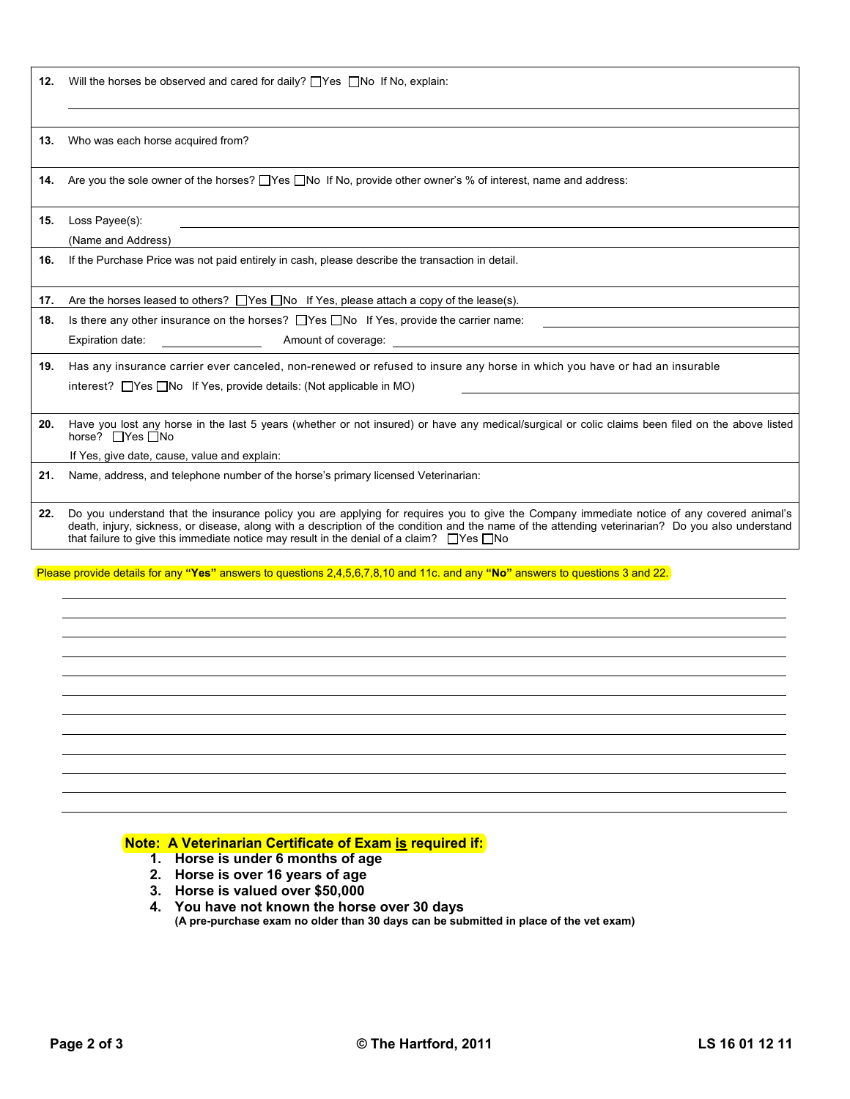12. Will the horses be observed and cared for daily? Thes No If No, explain:

**13.** Who was each horse acquired from?

**14.** Are you the sole owner of the horses?  $\Box$  Yes  $\Box$  No If No, provide other owner's % of interest, name and address:

**15.** Loss Payee(s):

l

(Name and Address)

**16.** If the Purchase Price was not paid entirely in cash, please describe the transaction in detail.

**17.** Are the horses leased to others?  $\Box$  Yes  $\Box$  No If Yes, please attach a copy of the lease(s).

**18.** Is there any other insurance on the horses?  $\Box$  Yes  $\Box$  No If Yes, provide the carrier name:

Expiration date: **Amount of coverage:** Amount of coverage:

**19.** Has any insurance carrier ever canceled, non-renewed or refused to insure any horse in which you have or had an insurable interest?  $\Box$  Yes  $\Box$  No If Yes, provide details: (Not applicable in MO)

**20.** Have you lost any horse in the last 5 years (whether or not insured) or have any medical/surgical or colic claims been filed on the above listed horse?  $\Box$ Yes  $\Box$ No

If Yes, give date, cause, value and explain:

**21.** Name, address, and telephone number of the horse's primary licensed Veterinarian:

**22.** Do you understand that the insurance policy you are applying for requires you to give the Company immediate notice of any covered animal's death, injury, sickness, or disease, along with a description of the condition and the name of the attending veterinarian? Do you also understand that failure to give this immediate notice may result in the denial of a claim?  $\Box$ Yes  $\Box$ No

Please provide details for any **"Yes"** answers to questions 2,4,5,6,7,8,10 and 11c. and any **"No"** answers to questions 3 and 22.

## **Note: A Veterinarian Certificate of Exam is required if:**

- **1. Horse is under 6 months of age**
- **2. Horse is over 16 years of age**
- **3. Horse is valued over \$50,000**

**4. You have not known the horse over 30 days (A pre-purchase exam no older than 30 days can be submitted in place of the vet exam)**